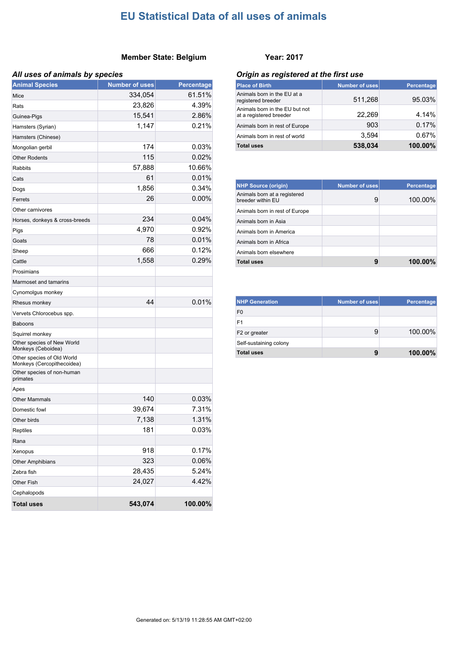#### **Member State: Belgium Year: 2017**

| <b>Animal Species</b>                                    | <b>Number of uses</b> | Percentage |
|----------------------------------------------------------|-----------------------|------------|
| Mice                                                     | 334,054               | 61.51%     |
| Rats                                                     | 23,826                | 4.39%      |
| Guinea-Pigs                                              | 15,541                | 2.86%      |
| Hamsters (Syrian)                                        | 1,147                 | 0.21%      |
| Hamsters (Chinese)                                       |                       |            |
| Mongolian gerbil                                         | 174                   | 0.03%      |
| <b>Other Rodents</b>                                     | 115                   | 0.02%      |
| <b>Rabbits</b>                                           | 57,888                | 10.66%     |
| Cats                                                     | 61                    | 0.01%      |
| Dogs                                                     | 1,856                 | 0.34%      |
| Ferrets                                                  | 26                    | 0.00%      |
| Other carnivores                                         |                       |            |
| Horses, donkeys & cross-breeds                           | 234                   | 0.04%      |
| Pigs                                                     | 4,970                 | 0.92%      |
| Goats                                                    | 78                    | 0.01%      |
| Sheep                                                    | 666                   | 0.12%      |
| Cattle                                                   | 1,558                 | 0.29%      |
| Prosimians                                               |                       |            |
| Marmoset and tamarins                                    |                       |            |
| Cynomolgus monkey                                        |                       |            |
| Rhesus monkey                                            | 44                    | 0.01%      |
| Vervets Chlorocebus spp.                                 |                       |            |
| <b>Baboons</b>                                           |                       |            |
| Squirrel monkey                                          |                       |            |
| Other species of New World<br>Monkeys (Ceboidea)         |                       |            |
| Other species of Old World<br>Monkeys (Cercopithecoidea) |                       |            |
| Other species of non-human<br>primates                   |                       |            |
| Apes                                                     |                       |            |
| <b>Other Mammals</b>                                     | 140                   | 0.03%      |
| Domestic fowl                                            | 39,674                | 7.31%      |
| Other birds                                              | 7,138                 | 1.31%      |
| Reptiles                                                 | 181                   | 0.03%      |
| Rana                                                     |                       |            |
| Xenopus                                                  | 918                   | 0.17%      |
| Other Amphibians                                         | 323                   | 0.06%      |
| Zebra fish                                               | 28,435                | 5.24%      |
| Other Fish                                               | 24,027                | 4.42%      |
| Cephalopods                                              |                       |            |
| <b>Total uses</b>                                        | 543,074               | 100.00%    |

#### *All uses of animals by species Origin as registered at the first use*

| <b>Place of Birth</b>                                     | <b>Number of uses</b> | <b>Percentage</b> |
|-----------------------------------------------------------|-----------------------|-------------------|
| Animals born in the EU at a<br>registered breeder         | 511,268               | 95.03%            |
| Animals born in the EU but not<br>at a registered breeder | 22,269                | 4.14%             |
| Animals born in rest of Europe                            | 903                   | 0.17%             |
| Animals born in rest of world                             | 3.594                 | 0.67%             |
| <b>Total uses</b>                                         | 538,034               | 100.00%           |

| <b>NHP Source (origin)</b>                        | Number of uses | <b>Percentage</b> |
|---------------------------------------------------|----------------|-------------------|
| Animals born at a registered<br>breeder within EU | 9              | 100.00%           |
| Animals born in rest of Europe                    |                |                   |
| Animals born in Asia                              |                |                   |
| Animals born in America                           |                |                   |
| Animals born in Africa                            |                |                   |
| Animals born elsewhere                            |                |                   |
| <b>Total uses</b>                                 | 9              | $100.00\%$        |

| <b>NHP Generation</b>     | <b>Number of uses</b> | Percentage |
|---------------------------|-----------------------|------------|
| F <sub>0</sub>            |                       |            |
| F1                        |                       |            |
| F <sub>2</sub> or greater | 9                     | 100.00%    |
| Self-sustaining colony    |                       |            |
| <b>Total uses</b>         | 9                     | $100.00\%$ |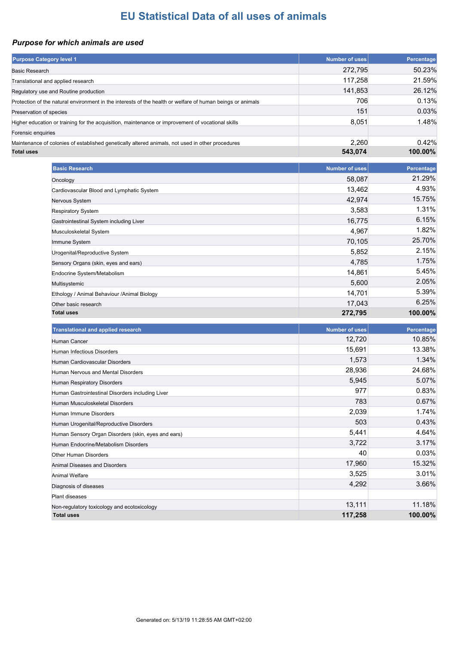### *Purpose for which animals are used*

| <b>Purpose Category level 1</b>                                                                            | <b>Number of uses</b> | Percentage           |
|------------------------------------------------------------------------------------------------------------|-----------------------|----------------------|
| <b>Basic Research</b>                                                                                      | 272,795               | 50.23%               |
| Translational and applied research                                                                         | 117,258               | 21.59%               |
| Regulatory use and Routine production                                                                      | 141,853               | 26.12%               |
| Protection of the natural environment in the interests of the health or welfare of human beings or animals | 706                   | 0.13%                |
| Preservation of species                                                                                    | 151                   | 0.03%                |
| Higher education or training for the acquisition, maintenance or improvement of vocational skills          | 8,051                 | 1.48%                |
| Forensic enquiries                                                                                         |                       |                      |
| Maintenance of colonies of established genetically altered animals, not used in other procedures           | 2,260                 | 0.42%                |
| <b>Total uses</b>                                                                                          | 543,074               | 100.00%              |
|                                                                                                            |                       |                      |
| <b>Basic Research</b>                                                                                      | <b>Number of uses</b> | Percentage<br>21.29% |
| Oncology                                                                                                   | 58,087                | 4.93%                |
| Cardiovascular Blood and Lymphatic System                                                                  | 13,462                | 15.75%               |
| Nervous System                                                                                             | 42,974                |                      |
| <b>Respiratory System</b>                                                                                  | 3,583                 | 1.31%                |
| Gastrointestinal System including Liver                                                                    | 16,775                | 6.15%                |
| Musculoskeletal System                                                                                     | 4,967                 | 1.82%                |
| Immune System                                                                                              | 70,105                | 25.70%               |
| Urogenital/Reproductive System                                                                             | 5,852                 | 2.15%                |
| Sensory Organs (skin, eyes and ears)                                                                       | 4,785                 | 1.75%                |
| Endocrine System/Metabolism                                                                                | 14,861                | 5.45%                |
| Multisystemic                                                                                              | 5,600                 | 2.05%                |
| Ethology / Animal Behaviour / Animal Biology                                                               | 14,701                | 5.39%                |
| Other basic research                                                                                       | 17,043                | 6.25%                |
| <b>Total uses</b>                                                                                          | 272,795               | 100.00%              |
| <b>Translational and applied research</b>                                                                  | <b>Number of uses</b> | Percentage           |
| Human Cancer                                                                                               | 12,720                | 10.85%               |
| Human Infectious Disorders                                                                                 | 15,691                | 13.38%               |
| Human Cardiovascular Disorders                                                                             | 1,573                 | 1.34%                |
| Human Nervous and Mental Disorders                                                                         | 28,936                | 24.68%               |
| Human Respiratory Disorders                                                                                | 5,945                 | 5.07%                |
| Human Gastrointestinal Disorders including Liver                                                           | 977                   | 0.83%                |
| Human Musculoskeletal Disorders                                                                            | 783                   | 0.67%                |
| Human Immune Disorders                                                                                     | 2,039                 | 1.74%                |
| Human Urogenital/Reproductive Disorders                                                                    | 503                   | 0.43%                |
| Human Sensory Organ Disorders (skin, eyes and ears)                                                        | 5,441                 | 4.64%                |
| Human Endocrine/Metabolism Disorders                                                                       | 3,722                 | 3.17%                |
| Other Human Disorders                                                                                      | 40                    | 0.03%                |
| Animal Diseases and Disorders                                                                              | 17,960                | 15.32%               |
| Animal Welfare                                                                                             | 3,525                 | 3.01%                |
| Diagnosis of diseases                                                                                      | 4,292                 | 3.66%                |
| Plant diseases                                                                                             |                       |                      |
|                                                                                                            | 13,111                | 11.18%               |
| Non-regulatory toxicology and ecotoxicology<br><b>Total uses</b>                                           | 117,258               | 100.00%              |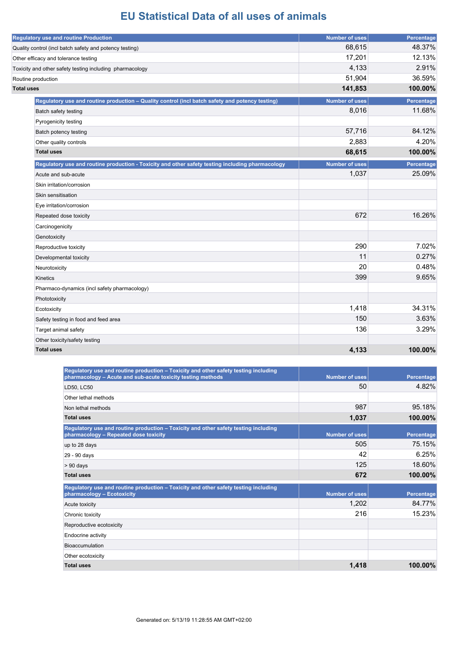| <b>Regulatory use and routine Production</b>                                                     | <b>Number of uses</b> | Percentage |
|--------------------------------------------------------------------------------------------------|-----------------------|------------|
| Quality control (incl batch safety and potency testing)                                          | 68,615                | 48.37%     |
| Other efficacy and tolerance testing                                                             | 17,201                | 12.13%     |
| Toxicity and other safety testing including pharmacology                                         | 4,133                 | 2.91%      |
| Routine production                                                                               | 51,904                | 36.59%     |
| <b>Total uses</b>                                                                                | 141,853               | 100.00%    |
| Regulatory use and routine production - Quality control (incl batch safety and potency testing)  | <b>Number of uses</b> | Percentage |
| Batch safety testing                                                                             | 8,016                 | 11.68%     |
| Pyrogenicity testing                                                                             |                       |            |
| Batch potency testing                                                                            | 57,716                | 84.12%     |
| Other quality controls                                                                           | 2,883                 | 4.20%      |
| <b>Total uses</b>                                                                                | 68,615                | 100.00%    |
| Regulatory use and routine production - Toxicity and other safety testing including pharmacology | <b>Number of uses</b> | Percentage |
| Acute and sub-acute                                                                              | 1,037                 | 25.09%     |
| Skin irritation/corrosion                                                                        |                       |            |
| Skin sensitisation                                                                               |                       |            |
| Eye irritation/corrosion                                                                         |                       |            |
| Repeated dose toxicity                                                                           | 672                   | 16.26%     |
| Carcinogenicity                                                                                  |                       |            |
| Genotoxicity                                                                                     |                       |            |
| Reproductive toxicity                                                                            | 290                   | 7.02%      |
| Developmental toxicity                                                                           | 11                    | 0.27%      |
| Neurotoxicity                                                                                    | 20                    | 0.48%      |
| <b>Kinetics</b>                                                                                  | 399                   | 9.65%      |
| Pharmaco-dynamics (incl safety pharmacology)                                                     |                       |            |
| Phototoxicity                                                                                    |                       |            |
| Ecotoxicity                                                                                      | 1,418                 | 34.31%     |
| Safety testing in food and feed area                                                             | 150                   | 3.63%      |
| Target animal safety                                                                             | 136                   | 3.29%      |
| Other toxicity/safety testing                                                                    |                       |            |
| <b>Total uses</b>                                                                                | 4,133                 | 100.00%    |

| Regulatory use and routine production – Toxicity and other safety testing including<br>pharmacology - Acute and sub-acute toxicity testing methods | <b>Number of uses</b> | Percentage |
|----------------------------------------------------------------------------------------------------------------------------------------------------|-----------------------|------------|
| LD50, LC50                                                                                                                                         | 50                    | 4.82%      |
| Other lethal methods                                                                                                                               |                       |            |
| Non lethal methods                                                                                                                                 | 987                   | 95.18%     |
| <b>Total uses</b>                                                                                                                                  | 1,037                 | 100.00%    |
| Regulatory use and routine production – Toxicity and other safety testing including<br>pharmacology - Repeated dose toxicity                       | <b>Number of uses</b> | Percentage |
| up to 28 days                                                                                                                                      | 505                   | 75.15%     |
| 29 - 90 days                                                                                                                                       | 42                    | 6.25%      |
| $> 90$ days                                                                                                                                        | 125                   | 18.60%     |
| <b>Total uses</b>                                                                                                                                  | 672                   | 100.00%    |
| Regulatory use and routine production - Toxicity and other safety testing including<br>pharmacology - Ecotoxicity                                  | <b>Number of uses</b> | Percentage |
| Acute toxicity                                                                                                                                     | 1,202                 | 84.77%     |
| Chronic toxicity                                                                                                                                   | 216                   | 15.23%     |
| Reproductive ecotoxicity                                                                                                                           |                       |            |
| Endocrine activity                                                                                                                                 |                       |            |
| Bioaccumulation                                                                                                                                    |                       |            |
| Other ecotoxicity                                                                                                                                  |                       |            |
| <b>Total uses</b>                                                                                                                                  | 1,418                 | $100.00\%$ |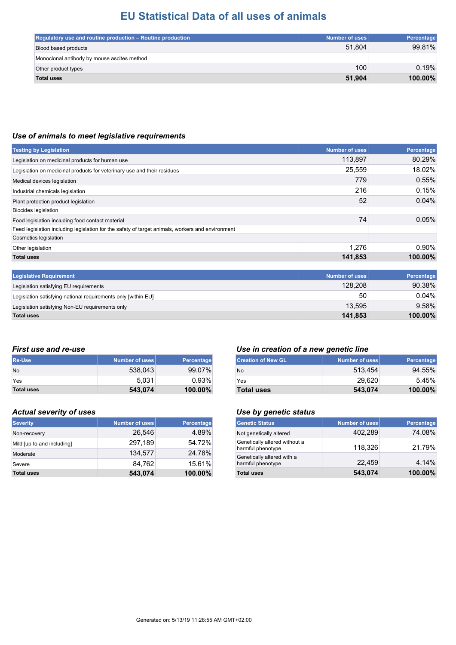| Regulatory use and routine production – Routine production | Number of uses | Percentage |
|------------------------------------------------------------|----------------|------------|
| Blood based products                                       | 51.804         | 99.81%     |
| Monoclonal antibody by mouse ascites method                |                |            |
| Other product types                                        | 100            | 0.19%      |
| <b>Total uses</b>                                          | 51.904         | 100.00%    |

#### *Use of animals to meet legislative requirements*

| <b>Testing by Legislation</b>                                                                    | <b>Number of uses</b> | Percentage |
|--------------------------------------------------------------------------------------------------|-----------------------|------------|
| Legislation on medicinal products for human use                                                  | 113,897               | 80.29%     |
| Legislation on medicinal products for veterinary use and their residues                          | 25,559                | 18.02%     |
| Medical devices legislation                                                                      | 779                   | 0.55%      |
| Industrial chemicals legislation                                                                 | 216                   | 0.15%      |
| Plant protection product legislation                                                             | 52                    | 0.04%      |
| Biocides legislation                                                                             |                       |            |
| Food legislation including food contact material                                                 | 74                    | 0.05%      |
| Feed legislation including legislation for the safety of target animals, workers and environment |                       |            |
| Cosmetics legislation                                                                            |                       |            |
| Other legislation                                                                                | 1,276                 | $0.90\%$   |
| <b>Total uses</b>                                                                                | 141,853               | 100.00%    |
|                                                                                                  |                       |            |
| <b>Legislative Requirement</b>                                                                   | <b>Number of uses</b> | Percentage |
| Legislation satisfying EU requirements                                                           | 128,208               | 90.38%     |
| Legislation satisfying national requirements only [within EU]                                    | 50                    | 0.04%      |
| Legislation satisfying Non-EU requirements only                                                  | 13,595                | 9.58%      |

**Total uses 141,853 100.00%**

| <b>Re-Use</b>     | Number of uses | Percentage |
|-------------------|----------------|------------|
| <b>No</b>         | 538,043        | 99.07%     |
| Yes               | 5.031          | 0.93%      |
| <b>Total uses</b> | 543,074        | $100.00\%$ |

#### *Actual severity of uses Use by genetic status*

| <b>Severity</b>            | Number of uses | <b>Percentage</b> |
|----------------------------|----------------|-------------------|
| Non-recovery               | 26.546         | 4.89%             |
| Mild [up to and including] | 297,189        | 54.72%            |
| Moderate                   | 134.577        | 24.78%            |
| Severe                     | 84.762         | 15.61%            |
| <b>Total uses</b>          | 543,074        | 100.00%           |

#### *First use and re-use Use in creation of a new genetic line*

| <b>Creation of New GL</b> | Number of uses | Percentage |
|---------------------------|----------------|------------|
| No                        | 513.454        | 94.55%     |
| Yes                       | 29.620         | 5.45%      |
| <b>Total uses</b>         | 543,074        | $100.00\%$ |

| <b>Genetic Status</b>                              | <b>Number of uses</b> | Percentage |
|----------------------------------------------------|-----------------------|------------|
| Not genetically altered                            | 402,289               | 74.08%     |
| Genetically altered without a<br>harmful phenotype | 118.326               | 21.79%     |
| Genetically altered with a<br>harmful phenotype    | 22,459                | 4.14%      |
| <b>Total uses</b>                                  | 543,074               | 100.00%    |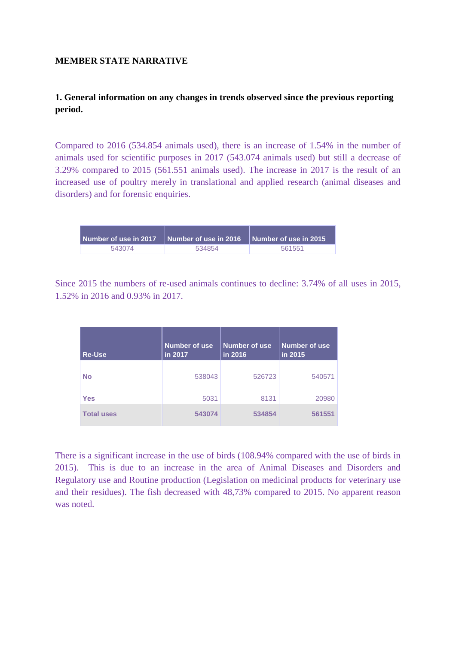### **MEMBER STATE NARRATIVE**

### **1. General information on any changes in trends observed since the previous reporting period.**

Compared to 2016 (534.854 animals used), there is an increase of 1.54% in the number of animals used for scientific purposes in 2017 (543.074 animals used) but still a decrease of 3.29% compared to 2015 (561.551 animals used). The increase in 2017 is the result of an increased use of poultry merely in translational and applied research (animal diseases and disorders) and for forensic enquiries.

| Number of use in 2017 | Number of use in 2016 $\parallel$ Number of use in 2015 |        |
|-----------------------|---------------------------------------------------------|--------|
| 543074                | 534854                                                  | 561551 |

Since 2015 the numbers of re-used animals continues to decline: 3.74% of all uses in 2015, 1.52% in 2016 and 0.93% in 2017.

| <b>Re-Use</b>     | Number of use<br>in 2017 | Number of use<br>in 2016 | <b>Number of use</b><br>in 2015 |
|-------------------|--------------------------|--------------------------|---------------------------------|
| <b>No</b>         | 538043                   | 526723                   | 540571                          |
| <b>Yes</b>        | 5031                     | 8131                     | 20980                           |
| <b>Total uses</b> | 543074                   | 534854                   | 561551                          |

There is a significant increase in the use of birds (108.94% compared with the use of birds in 2015). This is due to an increase in the area of Animal Diseases and Disorders and Regulatory use and Routine production (Legislation on medicinal products for veterinary use and their residues). The fish decreased with 48,73% compared to 2015. No apparent reason was noted.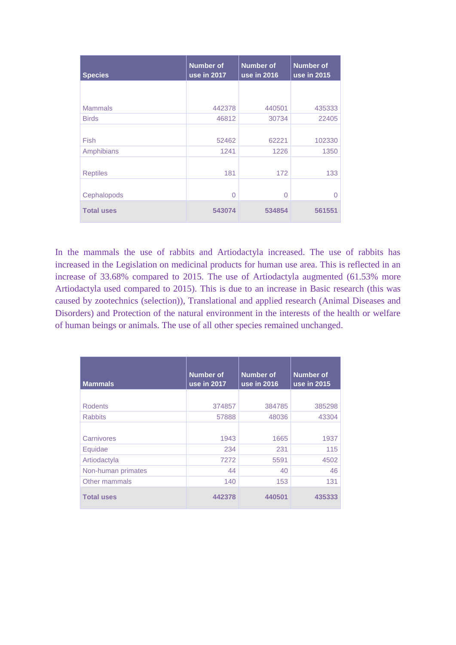| <b>Species</b>    | <b>Number</b> of<br>use in 2017 | <b>Number of</b><br>use in 2016 | <b>Number of</b><br>use in 2015 |
|-------------------|---------------------------------|---------------------------------|---------------------------------|
|                   |                                 |                                 |                                 |
| <b>Mammals</b>    | 442378                          | 440501                          | 435333                          |
| <b>Birds</b>      | 46812                           | 30734                           | 22405                           |
|                   |                                 |                                 |                                 |
| Fish              | 52462                           | 62221                           | 102330                          |
| Amphibians        | 1241                            | 1226                            | 1350                            |
| <b>Reptiles</b>   | 181                             | 172                             | 133                             |
|                   |                                 |                                 |                                 |
| Cephalopods       | 0                               | $\Omega$                        | 0                               |
| <b>Total uses</b> | 543074                          | 534854                          | 561551                          |

In the mammals the use of rabbits and Artiodactyla increased. The use of rabbits has increased in the Legislation on medicinal products for human use area. This is reflected in an increase of 33.68% compared to 2015. The use of Artiodactyla augmented (61.53% more Artiodactyla used compared to 2015). This is due to an increase in Basic research (this was caused by zootechnics (selection)), Translational and applied research (Animal Diseases and Disorders) and Protection of the natural environment in the interests of the health or welfare of human beings or animals. The use of all other species remained unchanged.

| <b>Mammals</b>     | <b>Number of</b><br>use in 2017 | <b>Number of</b><br>use in 2016 | <b>Number of</b><br>use in 2015 |
|--------------------|---------------------------------|---------------------------------|---------------------------------|
|                    |                                 |                                 |                                 |
| <b>Rodents</b>     | 374857                          | 384785                          | 385298                          |
| <b>Rabbits</b>     | 57888                           | 48036                           | 43304                           |
|                    |                                 |                                 |                                 |
| Carnivores         | 1943                            | 1665                            | 1937                            |
| Equidae            | 234                             | 231                             | 115                             |
| Artiodactyla       | 7272                            | 5591                            | 4502                            |
| Non-human primates | 44                              | 40                              | 46                              |
| Other mammals      | 140                             | 153                             | 131                             |
| <b>Total uses</b>  | 442378                          | 440501                          | 435333                          |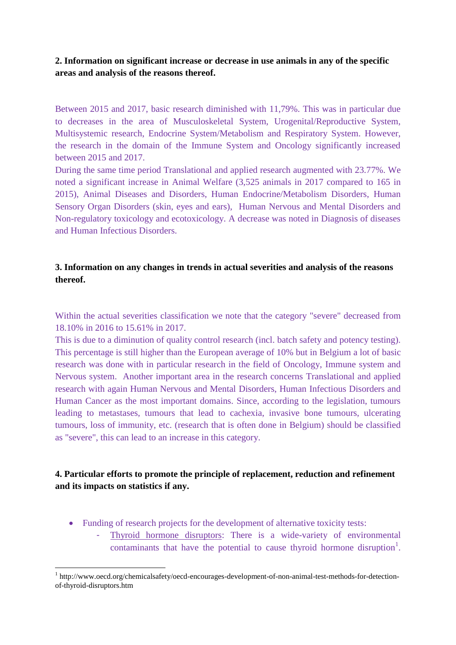### **2. Information on significant increase or decrease in use animals in any of the specific areas and analysis of the reasons thereof.**

Between 2015 and 2017, basic research diminished with 11,79%. This was in particular due to decreases in the area of Musculoskeletal System, Urogenital/Reproductive System, Multisystemic research, Endocrine System/Metabolism and Respiratory System. However, the research in the domain of the Immune System and Oncology significantly increased between 2015 and 2017.

During the same time period Translational and applied research augmented with 23.77%. We noted a significant increase in Animal Welfare (3,525 animals in 2017 compared to 165 in 2015), Animal Diseases and Disorders, Human Endocrine/Metabolism Disorders, Human Sensory Organ Disorders (skin, eyes and ears), Human Nervous and Mental Disorders and Non-regulatory toxicology and ecotoxicology. A decrease was noted in Diagnosis of diseases and Human Infectious Disorders.

#### **3. Information on any changes in trends in actual severities and analysis of the reasons thereof.**

Within the actual severities classification we note that the category "severe" decreased from 18.10% in 2016 to 15.61% in 2017.

This is due to a diminution of quality control research (incl. batch safety and potency testing). This percentage is still higher than the European average of 10% but in Belgium a lot of basic research was done with in particular research in the field of Oncology, Immune system and Nervous system. Another important area in the research concerns Translational and applied research with again Human Nervous and Mental Disorders, Human Infectious Disorders and Human Cancer as the most important domains. Since, according to the legislation, tumours leading to metastases, tumours that lead to cachexia, invasive bone tumours, ulcerating tumours, loss of immunity, etc. (research that is often done in Belgium) should be classified as "severe", this can lead to an increase in this category.

### **4. Particular efforts to promote the principle of replacement, reduction and refinement and its impacts on statistics if any.**

- Funding of research projects for the development of alternative toxicity tests:
	- Thyroid hormone disruptors: There is a wide-variety of environmental contaminants that have the potential to cause thyroid hormone disruption<sup>1</sup>.

<sup>1</sup> <sup>1</sup> http://www.oecd.org/chemicalsafety/oecd-encourages-development-of-non-animal-test-methods-for-detectionof-thyroid-disruptors.htm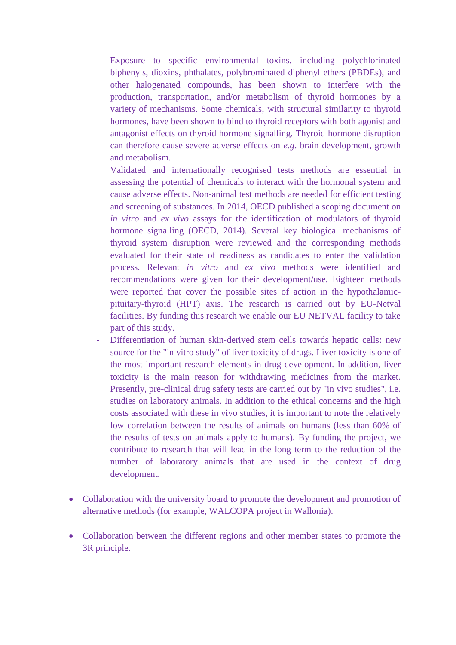Exposure to specific environmental toxins, including polychlorinated biphenyls, dioxins, phthalates, polybrominated diphenyl ethers (PBDEs), and other halogenated compounds, has been shown to interfere with the production, transportation, and/or metabolism of thyroid hormones by a variety of mechanisms. Some chemicals, with structural similarity to thyroid hormones, have been shown to bind to thyroid receptors with both agonist and antagonist effects on thyroid hormone signalling. Thyroid hormone disruption can therefore cause severe adverse effects on *e.g*. brain development, growth and metabolism.

Validated and internationally recognised tests methods are essential in assessing the potential of chemicals to interact with the hormonal system and cause adverse effects. Non-animal test methods are needed for efficient testing and screening of substances. In 2014, OECD published a scoping document on *in vitro* and *ex vivo* assays for the identification of modulators of thyroid hormone signalling (OECD, 2014). Several key biological mechanisms of thyroid system disruption were reviewed and the corresponding methods evaluated for their state of readiness as candidates to enter the validation process. Relevant *in vitro* and *ex vivo* methods were identified and recommendations were given for their development/use. Eighteen methods were reported that cover the possible sites of action in the hypothalamicpituitary-thyroid (HPT) axis. The research is carried out by EU-Netval facilities. By funding this research we enable our EU NETVAL facility to take part of this study.

- Differentiation of human skin-derived stem cells towards hepatic cells: new source for the "in vitro study" of liver toxicity of drugs. Liver toxicity is one of the most important research elements in drug development. In addition, liver toxicity is the main reason for withdrawing medicines from the market. Presently, pre-clinical drug safety tests are carried out by "in vivo studies", i.e. studies on laboratory animals. In addition to the ethical concerns and the high costs associated with these in vivo studies, it is important to note the relatively low correlation between the results of animals on humans (less than 60% of the results of tests on animals apply to humans). By funding the project, we contribute to research that will lead in the long term to the reduction of the number of laboratory animals that are used in the context of drug development.
- Collaboration with the university board to promote the development and promotion of alternative methods (for example, WALCOPA project in Wallonia).
- Collaboration between the different regions and other member states to promote the 3R principle.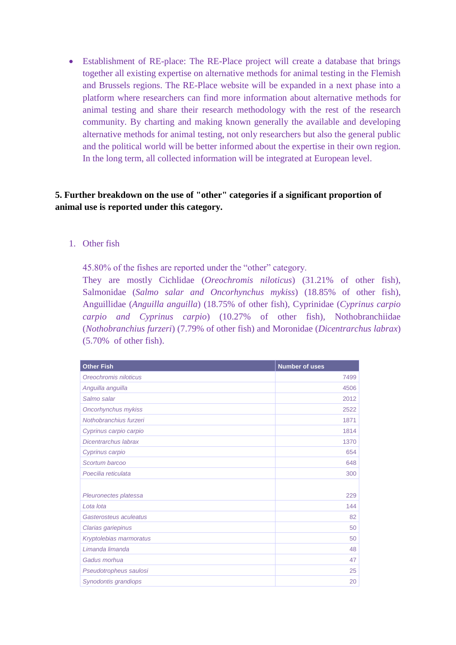Establishment of RE-place: The RE-Place project will create a database that brings together all existing expertise on alternative methods for animal testing in the Flemish and Brussels regions. The RE-Place website will be expanded in a next phase into a platform where researchers can find more information about alternative methods for animal testing and share their research methodology with the rest of the research community. By charting and making known generally the available and developing alternative methods for animal testing, not only researchers but also the general public and the political world will be better informed about the expertise in their own region. In the long term, all collected information will be integrated at European level.

### **5. Further breakdown on the use of "other" categories if a significant proportion of animal use is reported under this category.**

1. Other fish

45.80% of the fishes are reported under the "other" category.

They are mostly Cichlidae (*Oreochromis niloticus*) (31.21% of other fish), Salmonidae (*Salmo salar and Oncorhynchus mykiss*) (18.85% of other fish), Anguillidae (*Anguilla anguilla*) (18.75% of other fish), Cyprinidae (*Cyprinus carpio carpio and Cyprinus carpio*) (10.27% of other fish), Nothobranchiidae (*Nothobranchius furzeri*) (7.79% of other fish) and Moronidae (*Dicentrarchus labrax*) (5.70% of other fish).

| <b>Other Fish</b>       | <b>Number of uses</b> |
|-------------------------|-----------------------|
| Oreochromis niloticus   | 7499                  |
| Anguilla anguilla       | 4506                  |
| Salmo salar             | 2012                  |
| Oncorhynchus mykiss     | 2522                  |
| Nothobranchius furzeri  | 1871                  |
| Cyprinus carpio carpio  | 1814                  |
| Dicentrarchus labrax    | 1370                  |
| Cyprinus carpio         | 654                   |
| Scortum barcoo          | 648                   |
| Poecilia reticulata     | 300                   |
|                         |                       |
| Pleuronectes platessa   | 229                   |
| Lota lota               | 144                   |
| Gasterosteus aculeatus  | 82                    |
| Clarias gariepinus      | 50                    |
| Kryptolebias marmoratus | 50                    |
| Limanda limanda         | 48                    |
| Gadus morhua            | 47                    |
| Pseudotropheus saulosi  | 25                    |
| Synodontis grandiops    | 20                    |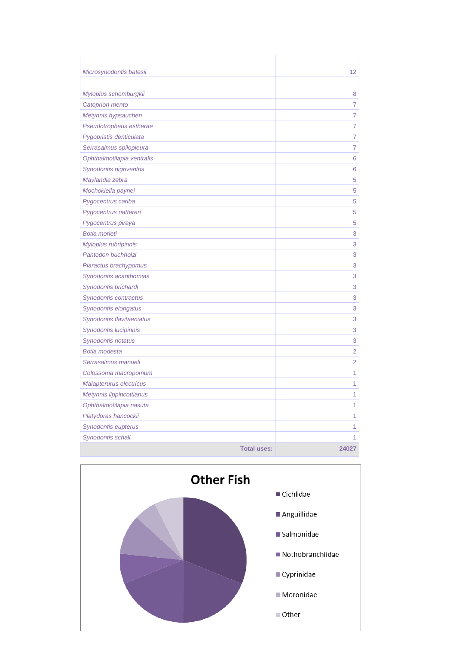| Microsynodontis batesii    |                    | 12             |
|----------------------------|--------------------|----------------|
| Myloplus schomburgkii      |                    | 8              |
| Catoprion mento            |                    | 7              |
| Metynnis hypsauchen        |                    | $\overline{7}$ |
| Pseudotropheus estherae    |                    | $\overline{7}$ |
| Pygopristis denticulata    |                    | 7              |
| Serrasalmus spilopleura    |                    | $\overline{7}$ |
| Ophthalmotilapia ventralis |                    | 6              |
| Synodontis nigriventris    |                    | 6              |
| Maylandia zebra            |                    | 5              |
| Mochokiella paynei         |                    | 5              |
| Pygocentrus cariba         |                    | 5              |
| Pygocentrus nattereri      |                    | 5              |
| Pygocentrus piraya         |                    | 5              |
| Botia morleti              |                    | 3              |
| Myloplus rubripinnis       |                    | 3              |
| Pantodon buchholzi         |                    | 3              |
| Piaractus brachypomus      |                    | 3              |
| Synodontis acanthomias     |                    | 3              |
| Synodontis brichardi       |                    | 3              |
| Synodontis contractus      |                    | 3              |
| Synodontis elongatus       |                    | 3              |
| Synodontis flavitaeniatus  |                    | 3              |
| Synodontis lucipinnis      |                    | 3              |
| Synodontis notatus         |                    | 3              |
| Botia modesta              |                    | $\overline{2}$ |
| Serrasalmus manueli        |                    | $\overline{2}$ |
| Colossoma macropomum       |                    | 1              |
| Malapterurus electricus    |                    | 1              |
| Metynnis lippincottianus   |                    | 1              |
| Ophthalmotilapia nasuta    |                    | 1              |
| Platydoras hancockii       |                    | 1              |
| Synodontis eupterus        |                    | 1              |
| Synodontis schall          |                    | 1              |
|                            | <b>Total uses:</b> | 24027          |

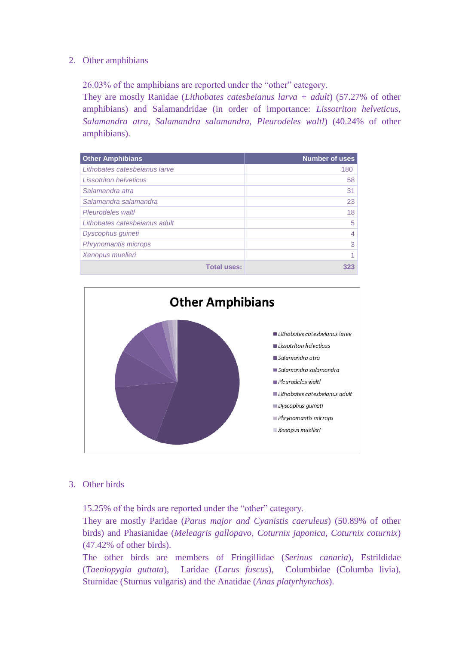#### 2. Other amphibians

26.03% of the amphibians are reported under the "other" category.

They are mostly Ranidae (*Lithobates catesbeianus larva + adult*) (57.27% of other amphibians) and Salamandridae (in order of importance: *Lissotriton helveticus, Salamandra atra, Salamandra salamandra, Pleurodeles waltl*) (40.24% of other amphibians).

| <b>Other Amphibians</b>       | <b>Number of uses</b> |
|-------------------------------|-----------------------|
| Lithobates catesbeianus larve | 180                   |
| <i>Lissotriton helveticus</i> | 58                    |
| Salamandra atra               | 31                    |
| Salamandra salamandra         | 23                    |
| Pleurodeles waltl             | 18                    |
| Lithobates catesbeianus adult | 5                     |
| Dyscophus guineti             | 4                     |
| Phrynomantis microps          | 3                     |
| Xenopus muelleri              |                       |
| <b>Total uses:</b>            | 323                   |



#### 3. Other birds

15.25% of the birds are reported under the "other" category.

They are mostly Paridae (*Parus major and Cyanistis caeruleus*) (50.89% of other birds) and Phasianidae (*Meleagris gallopavo, Coturnix japonica, Coturnix coturnix*) (47.42% of other birds).

The other birds are members of Fringillidae (*Serinus canaria*), Estrildidae (*Taeniopygia guttata*), Laridae (*Larus fuscus*), Columbidae (Columba livia), Sturnidae (Sturnus vulgaris) and the Anatidae (*Anas platyrhynchos*).